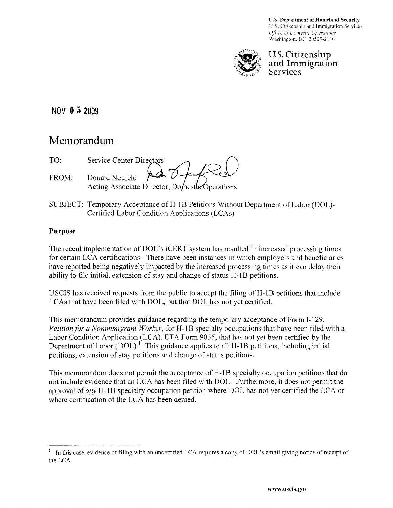U.S. Department of Homeland Security U.S. Citizenship and Immigration Services *Office of Domestic Operations* Washington. DC 20529-21 10



## U.S. Citizenship and Immigration **Services**

**NOV 052009** 

# **Memorandum**

| TO.     | Service Center Directors                       |
|---------|------------------------------------------------|
| $FROM+$ | $\frac{1}{2}$<br>Donald Neufeld                |
|         | Acting Associate Director, Domestle Operations |

SUBJECT: Temporary Acceptance of H-1B Petitions Without Department of Labor (DOL)-Certified Labor Condition Applications (LCAs)

# **Purpose**

The recent implementation of DOL's iCERT system has resulted in increased processing times for certain LCA certifications. There have been instances in which employers and beneficiaries have reported being negatively impacted by the increased processing times as it can delay their ability to file initial, extension of stay and change of status H-1B petitions.

USCIS has received requests from the public to accept the filing of H-1B petitions that include LCAs that have been filed with DOL, but that DOL has not yet certified.

This memorandum provides guidance regarding the temporary acceptance of Form 1-129, *Petition for a Nonimmigrant Worker*, for H-1B specialty occupations that have been filed with a Labor Condition Application (LCA), ETA Form 9035, that has not yet been certified by the Department of Labor (DOL).<sup>1</sup> This guidance applies to all H-1B petitions, including initial petitions, extension of stay petitions and change of status petitions.

This memorandum does not permit the acceptance of H-1B specialty occupation petitions that do not include evidence that an LCA has been filed with DOL. Furthermore, it does not permit the approval of *any* H-1B specialty occupation petition where DOL has not yet certified the LCA or where certification of the LCA has been denied.

In this case, evidence of filing with an uncertified LCA requires a copy of DOL's email giving notice of receipt of the LCA.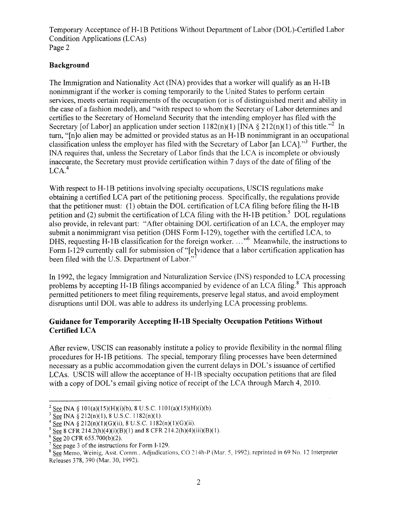Temporary Acceptance ofH-IB Petitions Without Department of Labor (DOL)-Certified Labor Condition Applications (LCAs) Page 2

## **Background**

The Immigration and Nationality Act (INA) provides that a worker will qualify as an H-1B nonimmigrant if the worker is coming temporarily to the United States to perform certain services, meets certain requirements of the occupation (or is of distinguished merit and ability in the case of a fashion model), and "with respect to whom the Secretary of Labor determines and certifies to the Secretary of Homeland Security that the intending employer has filed with the Secretary [of Labor] an application under section  $1182(n)(1)$  [INA  $\S 212(n)(1)$  of this title.<sup>32</sup> In turn, "[n]o alien may be admitted or provided status as an H-1B nonimmigrant in an occupational classification unless the employer has filed with the Secretary of Labor [an LCA]. $\frac{3}{3}$  Further, the INA requires that, unless the Secretary of Labor finds that the LCA is incomplete or obviously inaccurate, the Secretary must provide certification within 7 days of the date of filing of the  $LCA.<sup>4</sup>$ 

With respect to H-1B petitions involving specialty occupations, USCIS regulations make obtaining a certified LCA part of the petitioning process. Specifically, the regulations provide that the petitioner must: (1) obtain the DOL certification of LCA filing before filing the  $H-1B$ petition and (2) submit the certification of LCA filing with the H-1B petition.<sup>5</sup> DOL regulations also provide, in relevant part: "After obtaining DOL certification of an LCA, the employer may submit a nonimmigrant visa petition (DHS Form 1-129), together with the certified LCA, to DHS, requesting H-1B classification for the foreign worker.  $\dots$ <sup>6</sup> Meanwhile, the instructions to Form I-129 currently call for submission of "[e]vidence that a labor certification application has been filed with the U.S. Department of Labor."

In 1992, the legacy Immigration and Naturalization Service (INS) responded to LCA processing problems by accepting H-1B filings accompanied by evidence of an LCA filing.<sup>8</sup> This approach permitted petitioners to meet filing requirements, preserve legal status, and avoid employment disruptions until DOL was able to address its underlying LCA processing problems.

#### **Guidance for Temporarily Accepting H-IB Specialty Occupation Petitions Without Certified LCA**

After review, USCIS can reasonably institute a policy to provide flexibility in the normal filing procedures for H-1B petitions. The special, temporary filing processes have been determined necessary as a public accommodation given the current delays in DOL's issuance of certified LCAs. USCIS will allow the acceptance of H-1B specialty occupation petitions that are filed with a copy of DOL's email giving notice of receipt of the LCA through March 4,2010.

<sup>&</sup>lt;sup>2</sup> See INA § 101(a)(15)(H)(i)(b), 8 U.S.C. 1101(a)(15)(H)(i)(b).

 $3 \text{ See } \text{INA } \frac{212(n)(1), 8 \text{ U.S.C. } 1182(n)(1).$ 

 $4 \overline{See}$  INA  $\bar{8}$  212(n)(1)(G)(ii), 8 U.S.C. 1182(n)(1)(G)(ii).

 $5 \text{ See } 8 \text{ CFR } 214.2(h)(4)(i)(B)(1)$  and  $8 \text{ CFR } 214.2(h)(4)(iii)(B)(1).$ 

 $6$  See 20 CFR 655.700(b)(2).

 $\sqrt{7}$  See page 3 of the instructions for Form I-129.

<sup>&</sup>lt;sup>8</sup> See Memo, Weinig, Asst. Comm., Adjudications, CO 214h-P (Mar. 5, 1992), reprinted in 69 No. 12 Interpreter Releases 378, 390 (Mar. 30, 1992).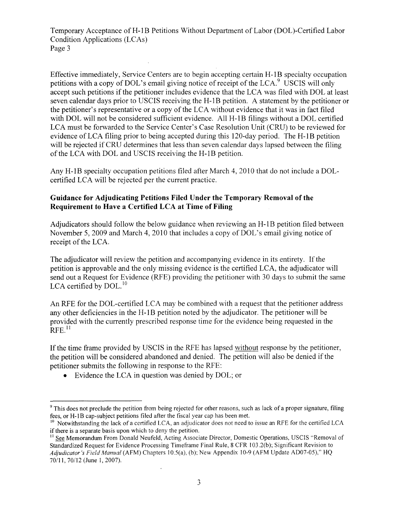Temporary Acceptance ofH-1B Petitions Without Department of Labor (DOL)-Certified Labor Condition Applications (LCAs) Page 3

Effective immediately, Service Centers are to begin accepting certain H-1B specialty occupation petitions with a copy of DOL's email giving notice of receipt of the LCA.<sup>9</sup> USCIS will only accept such petitions if the petitioner includes evidence that the LCA was filed with DOL at least seven calendar days prior to USCIS receiving the H-1B petition. A statement by the petitioner or the petitioner's representative or a copy of the LCA without evidence that it was in fact filed with DOL will not be considered sufficient evidence. All H-1B filings without a DOL certified LCA must be forwarded to the Service Center's Case Resolution Unit (CRU) to be reviewed for evidence ofLCA filing prior to being accepted during this 120-day period. The H-IB petition will be rejected if CRU determines that less than seven calendar days lapsed between the filing of the LCA with DOL and USCIS receiving the H-IB petition.

Any H-IB specialty occupation petitions filed after March 4, 2010 that do not include a DOLcertified LCA will be rejected per the current practice.

## **Guidance for Adjudicating Petitions Filed Under the Temporary Removal of the Requirement to Have a Certified LCA at Time of Filing**

Adjudicators should follow the below guidance when reviewing an H-1B petition filed between November 5, 2009 and March 4,2010 that includes a copy of DOL's email giving notice of receipt of the LCA.

The adjudicator will review the petition and accompanying evidence in its entirety. If the petition is approvable and the only missing evidence is the certified LCA, the adjudicator will send out a Request for Evidence (RFE) providing the petitioner with 30 days to submit the same LCA certified by DOL.<sup>10</sup>

An RFE for the DOL-certified LCA may be combined with a request that the petitioner address any other deficiencies in the H-IB petition noted by the adjudicator. The petitioner will be provided with the currently prescribed response time for the evidence being requested in the  $RFE$ <sup>11</sup>

If the time frame provided by USCIS in the RFE has lapsed without response by the petitioner, the petition will be considered abandoned and denied. The petition will also be denied if the petitioner submits the following in response to the RFE:

• Evidence the LCA in question was denied by DOL; or

<sup>&</sup>lt;sup>9</sup> This does not preclude the petition from being rejected for other reasons, such as lack of a proper signature, filing fees, or H-1B cap-subject petitions filed after the fiscal year cap has been met.

 $10$  Notwithstanding the lack of a certified LCA, an adjudicator does not need to issue an RFE for the certified LCA if there is a separate basis upon which to deny the petition.

<sup>&</sup>lt;sup>11</sup> See Memorandum From Donald Neufeld, Acting Associate Director, Domestic Operations, USCIS "Removal of Standardized Request for Evidence Processing Timeframe Final Rule, 8 CFR 103 .2(b); Significant Revision to Adjudicator's Field Manual (AFM) Chapters 10.5(a), (b); New Appendix 10-9 (AFM Update AD07-05)," HQ 70111,70/12 (June 1,2007).